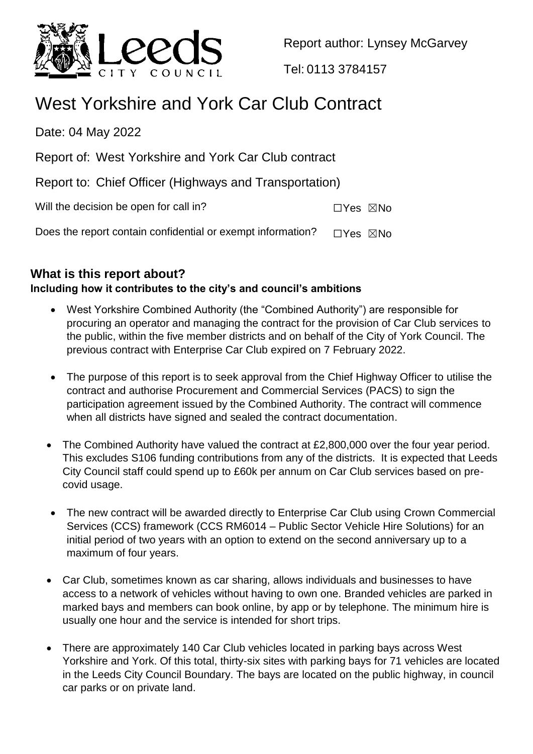

Report author: Lynsey McGarvey

Tel: 0113 3784157

# West Yorkshire and York Car Club Contract

Date: 04 May 2022

Report of: West Yorkshire and York Car Club contract

Report to: Chief Officer (Highways and Transportation)

Will the decision be open for call in?  $\square Y$ es  $\square$ No

Does the report contain confidential or exempt information?  $\Box$ Yes  $\boxtimes$ No

# **What is this report about?**

# **Including how it contributes to the city's and council's ambitions**

- West Yorkshire Combined Authority (the "Combined Authority") are responsible for procuring an operator and managing the contract for the provision of Car Club services to the public, within the five member districts and on behalf of the City of York Council. The previous contract with Enterprise Car Club expired on 7 February 2022.
- The purpose of this report is to seek approval from the Chief Highway Officer to utilise the contract and authorise Procurement and Commercial Services (PACS) to sign the participation agreement issued by the Combined Authority. The contract will commence when all districts have signed and sealed the contract documentation.
- The Combined Authority have valued the contract at £2,800,000 over the four year period. This excludes S106 funding contributions from any of the districts. It is expected that Leeds City Council staff could spend up to £60k per annum on Car Club services based on precovid usage.
- The new contract will be awarded directly to Enterprise Car Club using Crown Commercial Services (CCS) framework (CCS RM6014 – Public Sector Vehicle Hire Solutions) for an initial period of two years with an option to extend on the second anniversary up to a maximum of four years.
- Car Club, sometimes known as car sharing, allows individuals and businesses to have access to a network of vehicles without having to own one. Branded vehicles are parked in marked bays and members can book online, by app or by telephone. The minimum hire is usually one hour and the service is intended for short trips.
- There are approximately 140 Car Club vehicles located in parking bays across West Yorkshire and York. Of this total, thirty-six sites with parking bays for 71 vehicles are located in the Leeds City Council Boundary. The bays are located on the public highway, in council car parks or on private land.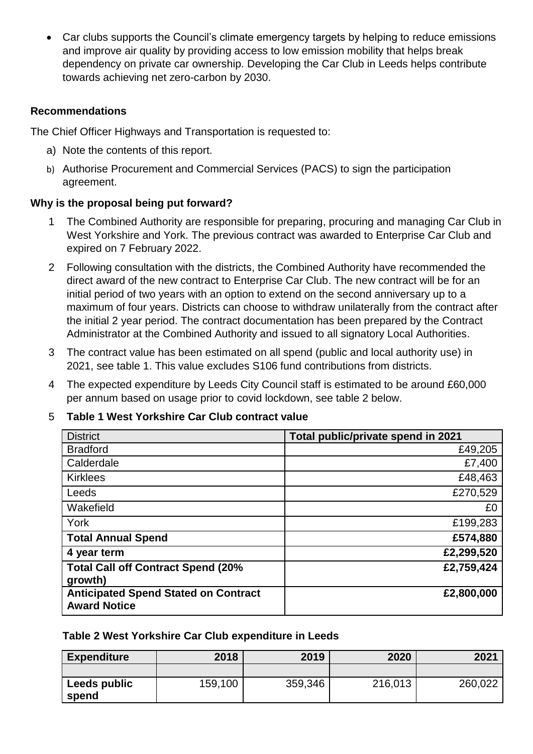Car clubs supports the Council's climate emergency targets by helping to reduce emissions and improve air quality by providing access to low emission mobility that helps break dependency on private car ownership. Developing the Car Club in Leeds helps contribute towards achieving net zero-carbon by 2030.

### **Recommendations**

The Chief Officer Highways and Transportation is requested to:

- a) Note the contents of this report.
- b) Authorise Procurement and Commercial Services (PACS) to sign the participation agreement.

# **Why is the proposal being put forward?**

- 1 The Combined Authority are responsible for preparing, procuring and managing Car Club in West Yorkshire and York. The previous contract was awarded to Enterprise Car Club and expired on 7 February 2022.
- 2 Following consultation with the districts, the Combined Authority have recommended the direct award of the new contract to Enterprise Car Club. The new contract will be for an initial period of two years with an option to extend on the second anniversary up to a maximum of four years. Districts can choose to withdraw unilaterally from the contract after the initial 2 year period. The contract documentation has been prepared by the Contract Administrator at the Combined Authority and issued to all signatory Local Authorities.
- 3 The contract value has been estimated on all spend (public and local authority use) in 2021, see table 1. This value excludes S106 fund contributions from districts.
- 4 The expected expenditure by Leeds City Council staff is estimated to be around £60,000 per annum based on usage prior to covid lockdown, see table 2 below.

#### 5 **Table 1 West Yorkshire Car Club contract value**

| <b>District</b>                                                    | Total public/private spend in 2021 |
|--------------------------------------------------------------------|------------------------------------|
| <b>Bradford</b>                                                    | £49,205                            |
| Calderdale                                                         | £7,400                             |
| <b>Kirklees</b>                                                    | £48,463                            |
| Leeds                                                              | £270,529                           |
| Wakefield                                                          | £0                                 |
| York                                                               | £199,283                           |
| <b>Total Annual Spend</b>                                          | £574,880                           |
| 4 year term                                                        | £2,299,520                         |
| <b>Total Call off Contract Spend (20%</b><br>growth)               | £2,759,424                         |
| <b>Anticipated Spend Stated on Contract</b><br><b>Award Notice</b> | £2,800,000                         |

#### **Table 2 West Yorkshire Car Club expenditure in Leeds**

| <b>Expenditure</b>    | 2018    | 2019    | 2020    | 2021    |
|-----------------------|---------|---------|---------|---------|
|                       |         |         |         |         |
| Leeds public<br>spend | 159,100 | 359,346 | 216,013 | 260,022 |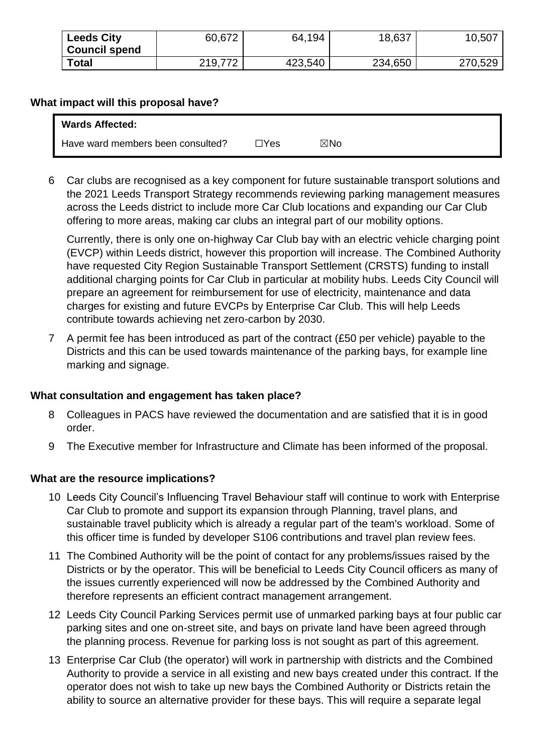| <b>Leeds City</b><br><b>Council spend</b> | 60,672  | 64,194  | 18,637  | 10,507  |
|-------------------------------------------|---------|---------|---------|---------|
| <b>Total</b>                              | 219,772 | 423,540 | 234,650 | 270,529 |

#### **What impact will this proposal have?**

| <b>Wards Affected:</b>            |      |     |  |
|-----------------------------------|------|-----|--|
| Have ward members been consulted? | ∃Yes | ⊠No |  |

6 Car clubs are recognised as a key component for future sustainable transport solutions and the 2021 Leeds Transport Strategy recommends reviewing parking management measures across the Leeds district to include more Car Club locations and expanding our Car Club offering to more areas, making car clubs an integral part of our mobility options.

Currently, there is only one on-highway Car Club bay with an electric vehicle charging point (EVCP) within Leeds district, however this proportion will increase. The Combined Authority have requested City Region Sustainable Transport Settlement (CRSTS) funding to install additional charging points for Car Club in particular at mobility hubs. Leeds City Council will prepare an agreement for reimbursement for use of electricity, maintenance and data charges for existing and future EVCPs by Enterprise Car Club. This will help Leeds contribute towards achieving net zero-carbon by 2030.

7 A permit fee has been introduced as part of the contract (£50 per vehicle) payable to the Districts and this can be used towards maintenance of the parking bays, for example line marking and signage.

# **What consultation and engagement has taken place?**

- 8 Colleagues in PACS have reviewed the documentation and are satisfied that it is in good order.
- 9 The Executive member for Infrastructure and Climate has been informed of the proposal.

# **What are the resource implications?**

- 10 Leeds City Council's Influencing Travel Behaviour staff will continue to work with Enterprise Car Club to promote and support its expansion through Planning, travel plans, and sustainable travel publicity which is already a regular part of the team's workload. Some of this officer time is funded by developer S106 contributions and travel plan review fees.
- 11 The Combined Authority will be the point of contact for any problems/issues raised by the Districts or by the operator. This will be beneficial to Leeds City Council officers as many of the issues currently experienced will now be addressed by the Combined Authority and therefore represents an efficient contract management arrangement.
- 12 Leeds City Council Parking Services permit use of unmarked parking bays at four public car parking sites and one on-street site, and bays on private land have been agreed through the planning process. Revenue for parking loss is not sought as part of this agreement.
- 13 Enterprise Car Club (the operator) will work in partnership with districts and the Combined Authority to provide a service in all existing and new bays created under this contract. If the operator does not wish to take up new bays the Combined Authority or Districts retain the ability to source an alternative provider for these bays. This will require a separate legal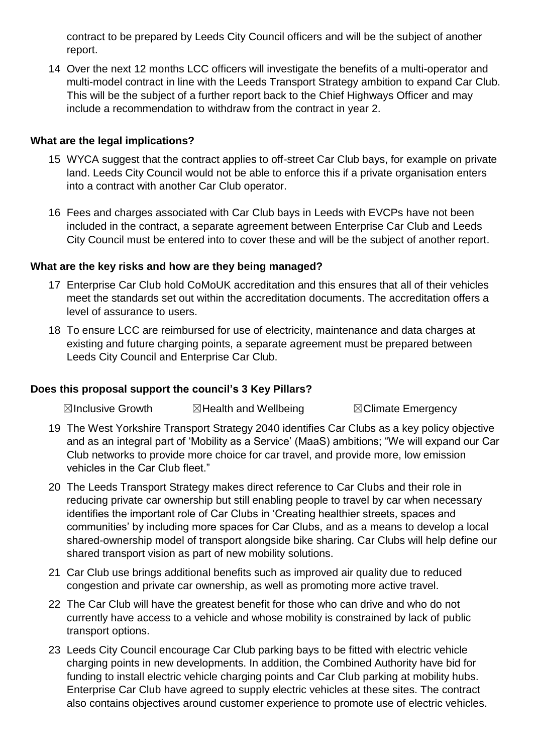contract to be prepared by Leeds City Council officers and will be the subject of another report.

14 Over the next 12 months LCC officers will investigate the benefits of a multi-operator and multi-model contract in line with the Leeds Transport Strategy ambition to expand Car Club. This will be the subject of a further report back to the Chief Highways Officer and may include a recommendation to withdraw from the contract in year 2.

#### **What are the legal implications?**

- 15 WYCA suggest that the contract applies to off-street Car Club bays, for example on private land. Leeds City Council would not be able to enforce this if a private organisation enters into a contract with another Car Club operator.
- 16 Fees and charges associated with Car Club bays in Leeds with EVCPs have not been included in the contract, a separate agreement between Enterprise Car Club and Leeds City Council must be entered into to cover these and will be the subject of another report.

#### **What are the key risks and how are they being managed?**

- 17 Enterprise Car Club hold CoMoUK accreditation and this ensures that all of their vehicles meet the standards set out within the accreditation documents. The accreditation offers a level of assurance to users.
- 18 To ensure LCC are reimbursed for use of electricity, maintenance and data charges at existing and future charging points, a separate agreement must be prepared between Leeds City Council and Enterprise Car Club.

#### **Does this proposal support the council's 3 Key Pillars?**

☒Inclusive Growth ☒Health and Wellbeing ☒Climate Emergency

- 19 The West Yorkshire Transport Strategy 2040 identifies Car Clubs as a key policy objective and as an integral part of 'Mobility as a Service' (MaaS) ambitions; "We will expand our Car Club networks to provide more choice for car travel, and provide more, low emission vehicles in the Car Club fleet."
- 20 The Leeds Transport Strategy makes direct reference to Car Clubs and their role in reducing private car ownership but still enabling people to travel by car when necessary identifies the important role of Car Clubs in 'Creating healthier streets, spaces and communities' by including more spaces for Car Clubs, and as a means to develop a local shared-ownership model of transport alongside bike sharing. Car Clubs will help define our shared transport vision as part of new mobility solutions.
- 21 Car Club use brings additional benefits such as improved air quality due to reduced congestion and private car ownership, as well as promoting more active travel.
- 22 The Car Club will have the greatest benefit for those who can drive and who do not currently have access to a vehicle and whose mobility is constrained by lack of public transport options.
- 23 Leeds City Council encourage Car Club parking bays to be fitted with electric vehicle charging points in new developments. In addition, the Combined Authority have bid for funding to install electric vehicle charging points and Car Club parking at mobility hubs. Enterprise Car Club have agreed to supply electric vehicles at these sites. The contract also contains objectives around customer experience to promote use of electric vehicles.